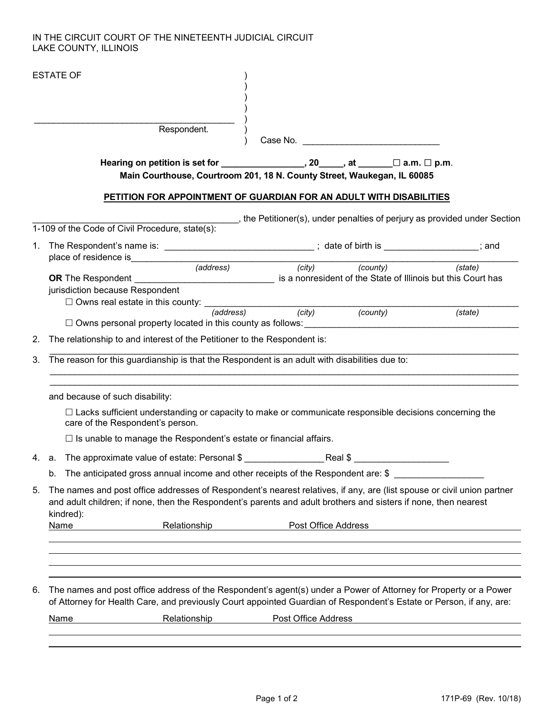## IN THE CIRCUIT COURT OF THE NINETEENTH JUDICIAL CIRCUIT LAKE COUNTY, ILLINOIS

|    | <b>ESTATE OF</b>                                                                                                                                                                                                                                       |  |  |  |  |  |
|----|--------------------------------------------------------------------------------------------------------------------------------------------------------------------------------------------------------------------------------------------------------|--|--|--|--|--|
|    | Respondent.<br>Case No. The contract of the contract of the contract of the contract of the contract of the contract of the contract of the contract of the contract of the contract of the contract of the contract of the contract of the c          |  |  |  |  |  |
|    |                                                                                                                                                                                                                                                        |  |  |  |  |  |
|    | Main Courthouse, Courtroom 201, 18 N. County Street, Waukegan, IL 60085                                                                                                                                                                                |  |  |  |  |  |
|    | PETITION FOR APPOINTMENT OF GUARDIAN FOR AN ADULT WITH DISABILITIES                                                                                                                                                                                    |  |  |  |  |  |
|    | , the Petitioner(s), under penalties of perjury as provided under Section                                                                                                                                                                              |  |  |  |  |  |
|    | 1-109 of the Code of Civil Procedure, state(s):                                                                                                                                                                                                        |  |  |  |  |  |
|    | 1. The Respondent's name is: ______________________________; date of birth is _______________; and<br>place of residence is entertainment                                                                                                              |  |  |  |  |  |
|    | (city) (county) (state)<br>(address)<br>OR The Respondent _________________________________ is a nonresident of the State of Illinois but this Court has<br>jurisdiction because Respondent                                                            |  |  |  |  |  |
|    | $\Box$ Owns real estate in this county: $\frac{1}{(address)}$ (city) (county)<br>(state)<br>$\Box$ Owns personal property located in this county as follows:                                                                                           |  |  |  |  |  |
| 2. | The relationship to and interest of the Petitioner to the Respondent is:                                                                                                                                                                               |  |  |  |  |  |
| 3. | The reason for this guardianship is that the Respondent is an adult with disabilities due to:                                                                                                                                                          |  |  |  |  |  |
|    | and because of such disability:                                                                                                                                                                                                                        |  |  |  |  |  |
|    | □ Lacks sufficient understanding or capacity to make or communicate responsible decisions concerning the<br>care of the Respondent's person.                                                                                                           |  |  |  |  |  |
|    | $\Box$ Is unable to manage the Respondent's estate or financial affairs.                                                                                                                                                                               |  |  |  |  |  |
|    | 4. a. The approximate value of estate: Personal \$ _______________________________                                                                                                                                                                     |  |  |  |  |  |
|    | b. The anticipated gross annual income and other receipts of the Respondent are: \$                                                                                                                                                                    |  |  |  |  |  |
| 5. | The names and post office addresses of Respondent's nearest relatives, if any, are (list spouse or civil union partner<br>and adult children; if none, then the Respondent's parents and adult brothers and sisters if none, then nearest<br>kindred): |  |  |  |  |  |
|    | Relationship<br>Post Office Address<br>Name                                                                                                                                                                                                            |  |  |  |  |  |
|    |                                                                                                                                                                                                                                                        |  |  |  |  |  |
| 6. | The names and post office address of the Respondent's agent(s) under a Power of Attorney for Property or a Power<br>of Attorney for Health Care, and previously Court appointed Guardian of Respondent's Estate or Person, if any, are:                |  |  |  |  |  |
|    | <b>Relationship</b><br><b>Post Office Address</b><br><b>Name</b>                                                                                                                                                                                       |  |  |  |  |  |